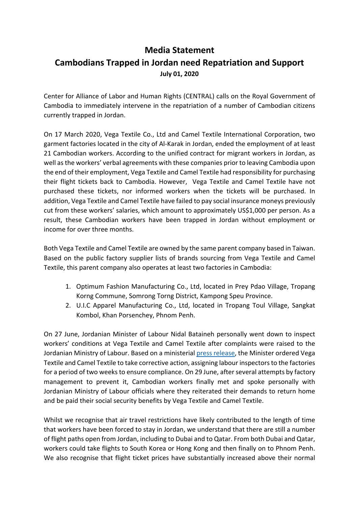## **Media Statement Cambodians Trapped in Jordan need Repatriation and Support July 01, 2020**

Center for Alliance of Labor and Human Rights (CENTRAL) calls on the Royal Government of Cambodia to immediately intervene in the repatriation of a number of Cambodian citizens currently trapped in Jordan.

On 17 March 2020, Vega Textile Co., Ltd and Camel Textile International Corporation, two garment factories located in the city of Al-Karak in Jordan, ended the employment of at least 21 Cambodian workers. According to the unified contract for migrant workers in Jordan, as well asthe workers' verbal agreements with these companies prior to leaving Cambodia upon the end of their employment, Vega Textile and Camel Textile had responsibility for purchasing their flight tickets back to Cambodia. However, Vega Textile and Camel Textile have not purchased these tickets, nor informed workers when the tickets will be purchased. In addition, Vega Textile and Camel Textile have failed to pay social insurance moneys previously cut from these workers' salaries, which amount to approximately US\$1,000 per person. As a result, these Cambodian workers have been trapped in Jordan without employment or income for over three months.

Both Vega Textile and Camel Textile are owned by the same parent company based in Taiwan. Based on the public factory supplier lists of brands sourcing from Vega Textile and Camel Textile, this parent company also operates at least two factories in Cambodia:

- 1. Optimum Fashion Manufacturing Co., Ltd, located in Prey Pdao Village, Tropang Korng Commune, Somrong Torng District, Kampong Speu Province.
- 2. U.I.C Apparel Manufacturing Co., Ltd, located in Tropang Toul Village, Sangkat Kombol, Khan Porsenchey, Phnom Penh.

On 27 June, Jordanian Minister of Labour Nidal Bataineh personally went down to inspect workers' conditions at Vega Textile and Camel Textile after complaints were raised to the Jordanian Ministry of Labour. Based on a ministerial press release, the Minister ordered Vega Textile and Camel Textile to take corrective action, assigning labour inspectors to the factories for a period of two weeks to ensure compliance. On 29 June, after several attempts by factory management to prevent it, Cambodian workers finally met and spoke personally with Jordanian Ministry of Labour officials where they reiterated their demands to return home and be paid their social security benefits by Vega Textile and Camel Textile.

Whilst we recognise that air travel restrictions have likely contributed to the length of time that workers have been forced to stay in Jordan, we understand that there are still a number of flight paths open from Jordan, including to Dubai and to Qatar. From both Dubai and Qatar, workers could take flights to South Korea or Hong Kong and then finally on to Phnom Penh. We also recognise that flight ticket prices have substantially increased above their normal